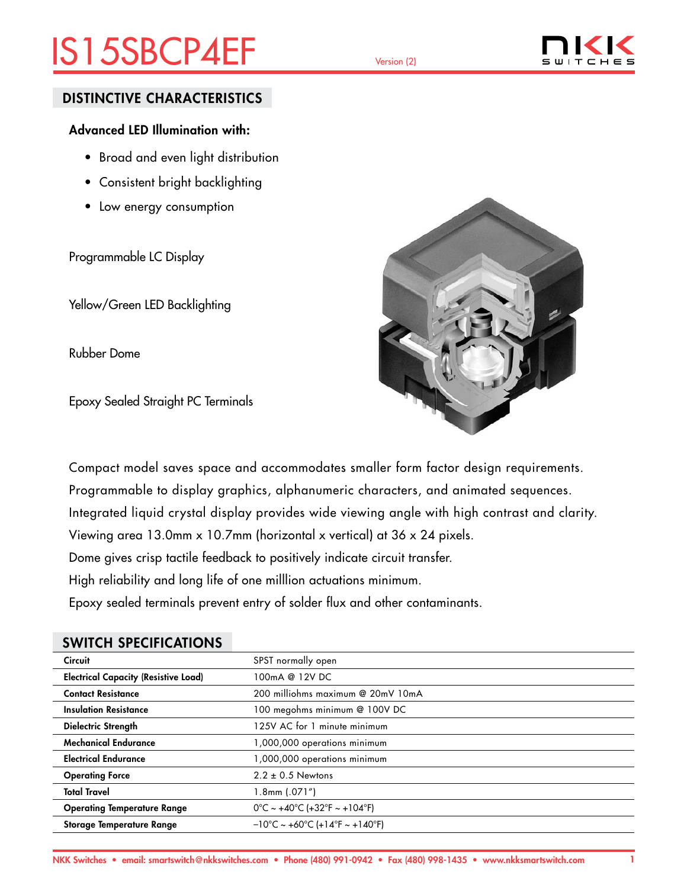# IS15SBCP4EF Version (2)



### DISTINCTIVE CHARACTERISTICS

### Advanced LED Illumination with:

- Broad and even light distribution
- Consistent bright backlighting
- Low energy consumption

Programmable LC Display

Yellow/Green LED Backlighting

Rubber Dome

Epoxy Sealed Straight PC Terminals



Compact model saves space and accommodates smaller form factor design requirements. Programmable to display graphics, alphanumeric characters, and animated sequences. Integrated liquid crystal display provides wide viewing angle with high contrast and clarity. Viewing area 13.0mm x 10.7mm (horizontal x vertical) at 36 x 24 pixels. Dome gives crisp tactile feedback to positively indicate circuit transfer. High reliability and long life of one milllion actuations minimum. Epoxy sealed terminals prevent entry of solder flux and other contaminants.

### SWITCH SPECIFICATIONS

| <b>Circuit</b>                              | SPST normally open                                                        |
|---------------------------------------------|---------------------------------------------------------------------------|
| <b>Electrical Capacity (Resistive Load)</b> | 100mA @ 12V DC                                                            |
| <b>Contact Resistance</b>                   | 200 milliohms maximum @ 20mV 10mA                                         |
| <b>Insulation Resistance</b>                | 100 megohms minimum @ 100V DC                                             |
| Dielectric Strength                         | 125V AC for 1 minute minimum                                              |
| <b>Mechanical Endurance</b>                 | 1,000,000 operations minimum                                              |
| <b>Electrical Endurance</b>                 | 1,000,000 operations minimum                                              |
| <b>Operating Force</b>                      | $2.2 \pm 0.5$ Newtons                                                     |
| <b>Total Travel</b>                         | $1.8$ mm $(.071'')$                                                       |
| <b>Operating Temperature Range</b>          | $0^{\circ}$ C ~ +40°C (+32°F ~ +104°F)                                    |
| Storage Temperature Range                   | $-10^{\circ}$ C ~ +60 $^{\circ}$ C (+14 $^{\circ}$ F ~ +140 $^{\circ}$ F) |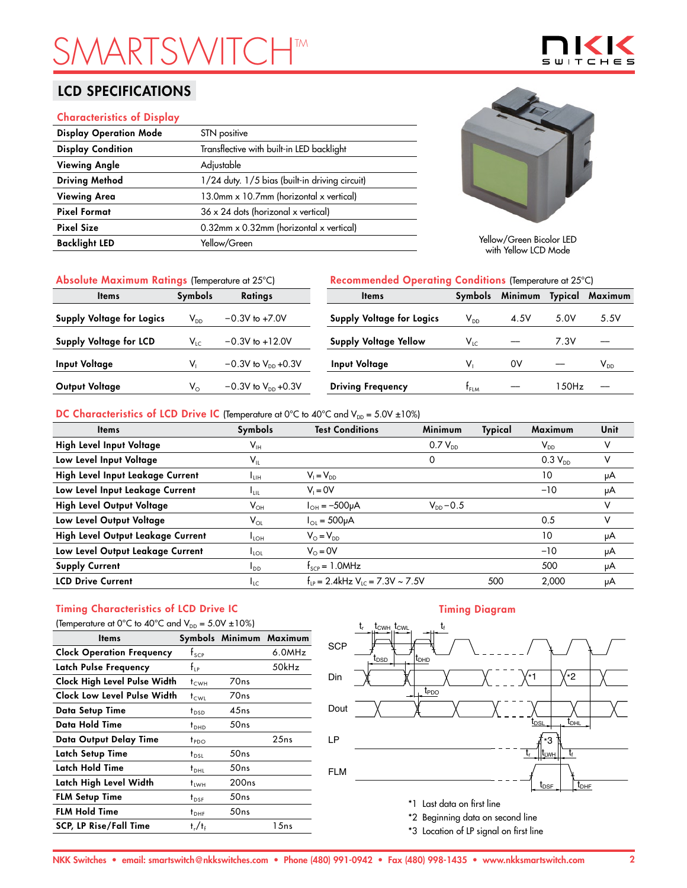# **SMARTSHTM**

## LCD SPECIFICATIONS

#### Characteristics of Display

| <b>Display Operation Mode</b> | STN positive                                   |
|-------------------------------|------------------------------------------------|
| <b>Display Condition</b>      | Transflective with built-in LED backlight      |
| <b>Viewing Angle</b>          | Adjustable                                     |
| <b>Driving Method</b>         | 1/24 duty. 1/5 bias (built-in driving circuit) |
| <b>Viewing Area</b>           | 13.0mm x 10.7mm (horizontal x vertical)        |
| <b>Pixel Format</b>           | $36 \times 24$ dots (horizonal x vertical)     |
| <b>Pixel Size</b>             | $0.32$ mm x 0.32mm (horizontal x vertical)     |
| <b>Backlight LED</b>          | Yellow/Green                                   |



 $\subseteq$ 

Yellow/Green Bicolor LED with Yellow LCD Mode

|  |  |  | Absolute Maximum Ratings (Temperature at 25°C) |
|--|--|--|------------------------------------------------|
|--|--|--|------------------------------------------------|

| Absolute Maximum Ratings (Temperature at 25°C) |                |                                  | Recommended Operating Conditions (Temperature at 25°C) |                            |         |         |                            |
|------------------------------------------------|----------------|----------------------------------|--------------------------------------------------------|----------------------------|---------|---------|----------------------------|
| <b>Items</b>                                   | <b>Symbols</b> | <b>Ratings</b>                   | <b>Items</b>                                           | Symbols                    | Minimum | Typical | Maximum                    |
| <b>Supply Voltage for Logics</b>               | $V_{DD}$       | $-0.3V$ to $+7.0V$               | Supply Voltage for Logics                              | $\mathsf{V}_{\mathsf{DD}}$ | 4.5V    | 5.0V    | 5.5V                       |
| <b>Supply Voltage for LCD</b>                  | $V_{LC}$       | $-0.3V$ to $+12.0V$              | <b>Supply Voltage Yellow</b>                           | $V_{LC}$                   |         | 7.3V    |                            |
| <b>Input Voltage</b>                           |                | $-0.3V$ to $V_{DD}$ +0.3V        | Input Voltage                                          | v,                         | 0V      |         | $\mathsf{V}_{\mathsf{DD}}$ |
| Output Voltage                                 | $V_{\odot}$    | $-0.3V$ to $V_{\text{DD}}$ +0.3V | <b>Driving Frequency</b>                               | t <sub>FLM</sub>           |         | 150Hz   |                            |

### DC Characteristics of LCD Drive IC (Temperature at 0°C to 40°C and  $V_{DD} = 5.0V \pm 10\%$ )

| <b>Items</b>                      | Symbols                    | <b>Test Conditions</b>                           | <b>Minimum</b> | Typical | Maximum                    | Unit |
|-----------------------------------|----------------------------|--------------------------------------------------|----------------|---------|----------------------------|------|
| High Level Input Voltage          | $\mathsf{V}_{\mathsf{IH}}$ |                                                  | $0.7 V_{DD}$   |         | $\mathsf{V}_{\mathsf{DD}}$ |      |
| Low Level Input Voltage           | $\mathsf{V}_{\mathsf{IL}}$ |                                                  | 0              |         | $0.3 V_{DD}$               | v    |
| High Level Input Leakage Current  | Īин                        | $V_1 = V_{DD}$                                   |                |         | 10                         | μA   |
| Low Level Input Leakage Current   | <b>LUL</b>                 | $V_i = 0V$                                       |                |         | $-10$                      | μA   |
| High Level Output Voltage         | $\mathsf{V}_{\mathsf{OH}}$ | $I_{OH} = -500 \mu A$                            | $V_{DD} - 0.5$ |         |                            | v    |
| Low Level Output Voltage          | $V_{OL}$                   | $I_{OL} = 500 \mu A$                             |                |         | 0.5                        | v    |
| High Level Output Leakage Current | $I_{LOH}$                  | $V_{\odot} = V_{\text{DD}}$                      |                |         | 10                         | μA   |
| Low Level Output Leakage Current  | $I_{\text{LOL}}$           | $V_0 = 0V$                                       |                |         | $-10$                      | μA   |
| <b>Supply Current</b>             | $I_{DD}$                   | $f_{\text{SCP}} = 1.0$ MHz                       |                |         | 500                        | μA   |
| <b>LCD Drive Current</b>          | $I_{LC}$                   | $f_{1p} = 2.4$ kHz V <sub>10</sub> = 7.3V ~ 7.5V |                | 500     | 2.000                      | μA   |

## Timing Characteristics of LCD Drive IC

| (Temperature at 0°C to 40°C and $V_{DD} = 5.0V \pm 10\%$ ) |                  |                   |                         |  |  |  |
|------------------------------------------------------------|------------------|-------------------|-------------------------|--|--|--|
| ltems                                                      |                  |                   | Symbols Minimum Maximum |  |  |  |
| <b>Clock Operation Frequency</b>                           | $f_{\text{SCP}}$ |                   | 6.0MHz                  |  |  |  |
| Latch Pulse Frequency                                      | $f_{\rm IP}$     |                   | 50kHz                   |  |  |  |
| Clock High Level Pulse Width                               | $t_{\text{CWH}}$ | 70 <sub>ns</sub>  |                         |  |  |  |
| Clock Low Level Pulse Width                                | t <sub>cwi</sub> | 70 <sub>ns</sub>  |                         |  |  |  |
| Data Setup Time                                            | $t_{\text{DSD}}$ | 45ns              |                         |  |  |  |
| Data Hold Time                                             | $t_{DHD}$        | 50ns              |                         |  |  |  |
| Data Output Delay Time                                     | $t_{PDO}$        |                   | 25ns                    |  |  |  |
| Latch Setup Time                                           | $t_{DSL}$        | 50ns              |                         |  |  |  |
| Latch Hold Time                                            | $t_{\text{DH}}$  | 50ns              |                         |  |  |  |
| Latch High Level Width                                     | <sup>†</sup> LWH | 200 <sub>ns</sub> |                         |  |  |  |
| <b>FLM Setup Time</b>                                      | $t_{DSF}$        | 50ns              |                         |  |  |  |
| <b>FLM Hold Time</b>                                       | $t_{\text{DHF}}$ | 50ns              |                         |  |  |  |
| <b>SCP, LP Rise/Fall Time</b>                              | $t_r/t_f$        |                   | 15ns                    |  |  |  |

#### Timing Diagram



\*3 Location of LP signal on first line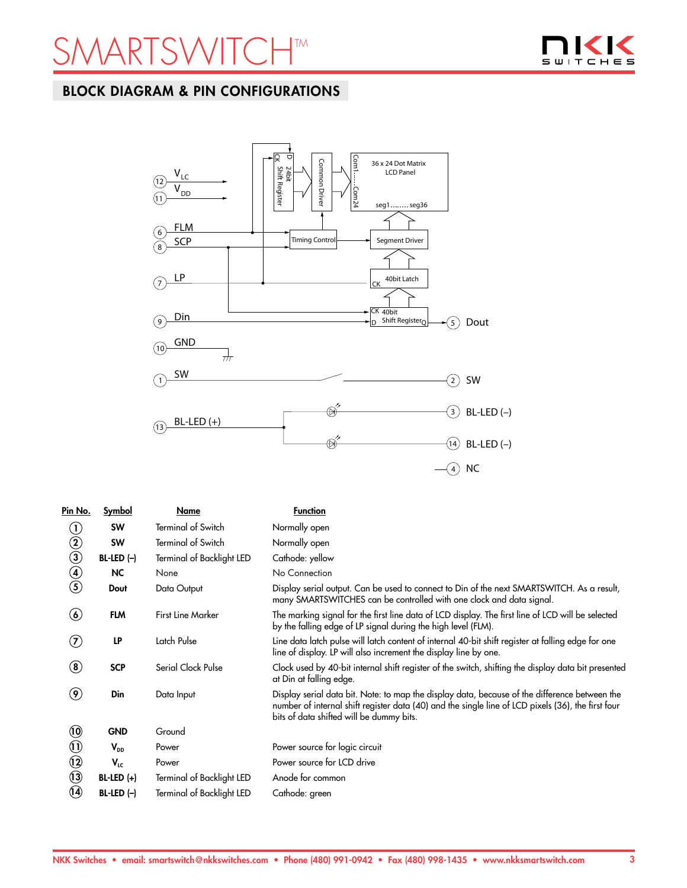## ARTSWITCH<sup>TM</sup>



## BLOCK DIAGRAM & PIN CONFIGURATIONS



| Pin No.                        | <b>Symbol</b> | Name                             | <b>Function</b>                                                                                                                                                                                                                                 |
|--------------------------------|---------------|----------------------------------|-------------------------------------------------------------------------------------------------------------------------------------------------------------------------------------------------------------------------------------------------|
| $\left(  \right)$              | <b>SW</b>     | <b>Terminal of Switch</b>        | Normally open                                                                                                                                                                                                                                   |
| $\circled{2}$                  | <b>SW</b>     | <b>Terminal of Switch</b>        | Normally open                                                                                                                                                                                                                                   |
| $\bar{\bm{\mathcal{S}}}$       | $BL-LED (-)$  | <b>Terminal of Backlight LED</b> | Cathode: yellow                                                                                                                                                                                                                                 |
| $\textcircled{\small{4}}$      | <b>NC</b>     | None                             | No Connection                                                                                                                                                                                                                                   |
| $\circledS$                    | Dout          | Data Output                      | Display serial output. Can be used to connect to Din of the next SMARTSWITCH. As a result,<br>many SMARTSWITCHES can be controlled with one clock and data signal.                                                                              |
| $\bf(6)$                       | <b>FLM</b>    | <b>First Line Marker</b>         | The marking signal for the first line data of LCD display. The first line of LCD will be selected<br>by the falling edge of LP signal during the high level (FLM).                                                                              |
| (7)                            | LP            | Latch Pulse                      | Line data latch pulse will latch content of internal 40-bit shift register at falling edge for one<br>line of display. LP will also increment the display line by one.                                                                          |
| $\left( \bf{8}\right)$         | <b>SCP</b>    | Serial Clock Pulse               | Clock used by 40-bit internal shift register of the switch, shifting the display data bit presented<br>at Din at falling edge.                                                                                                                  |
| $\left( \textbf{9}\right)$     | Din           | Data Input                       | Display serial data bit. Note: to map the display data, because of the difference between the<br>number of internal shift register data (40) and the single line of LCD pixels (36), the first four<br>bits of data shifted will be dummy bits. |
| $\ddot{\bm{\theta}}$           | <b>GND</b>    | Ground                           |                                                                                                                                                                                                                                                 |
| $\textcircled{\scriptsize{1}}$ | $V_{DD}$      | Power                            | Power source for logic circuit                                                                                                                                                                                                                  |
| $\circledR$                    | $V_{LC}$      | Power                            | Power source for LCD drive                                                                                                                                                                                                                      |
| $\odot$                        | $BL-LED (+)$  | Terminal of Backlight LED        | Anode for common                                                                                                                                                                                                                                |
| (14)                           | $BL-LED (-)$  | <b>Terminal of Backlight LED</b> | Cathode: green                                                                                                                                                                                                                                  |